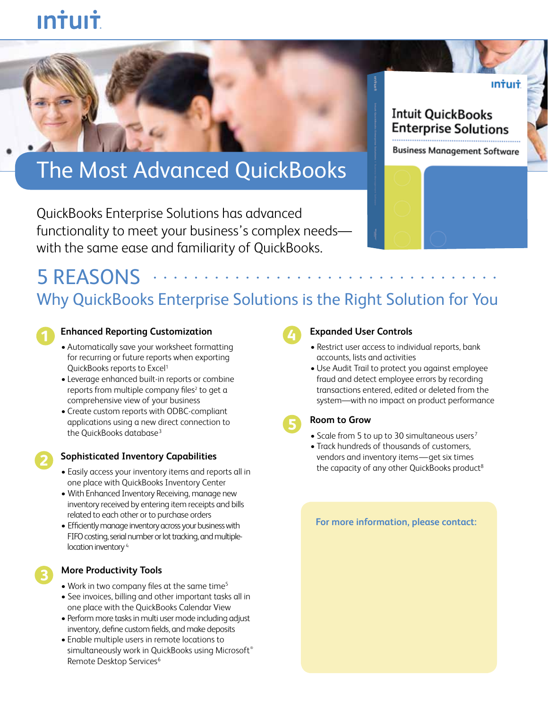# **Intuit**

# The Most Advanced QuickBooks

QuickBooks Enterprise Solutions has advanced functionality to meet your business's complex needs with the same ease and familiarity of QuickBooks.

## **Intuit QuickBooks Enterprise Solutions**

**Business Management Software** 

ıntuıt

### 5 RFASONS ... Why QuickBooks Enterprise Solutions is the Right Solution for You **..................................**

#### **Enhanced Reporting Customization**

- Automatically save your worksheet formatting for recurring or future reports when exporting QuickBooks reports to Excel1
- • Leverage enhanced built-in reports or combine reports from multiple company files<sup>2</sup> to get a comprehensive view of your business
- Create custom reports with ODBC-compliant applications using a new direct connection to the QuickBooks database<sup>3</sup>

# **2**

**3**

#### **Sophisticated Inventory Capabilities**

- Easily access your inventory items and reports all in one place with QuickBooks Inventory Center
- With Enhanced Inventory Receiving, manage new inventory received by entering item receipts and bills related to each other or to purchase orders
- Efficiently manage inventory across your business with FIFO costing, serial number or lot tracking, and multiplelocation inventory<sup>4</sup>

#### **More Productivity Tools**

- Work in two company files at the same time<sup>5</sup>
- See invoices, billing and other important tasks all in one place with the QuickBooks Calendar View
- Perform more tasks in multi user mode including adjust inventory, define custom fields, and make deposits
- Enable multiple users in remote locations to simultaneously work in QuickBooks using Microsoft® Remote Desktop Services<sup>6</sup>

# **4**

**5**

#### **Expanded User Controls**

- Restrict user access to individual reports, bank accounts, lists and activities
- Use Audit Trail to protect you against employee fraud and detect employee errors by recording transactions entered, edited or deleted from the system—with no impact on product performance

#### **Room to Grow**

- Scale from 5 to up to 30 simultaneous users<sup>7</sup>
- Track hundreds of thousands of customers, vendors and inventory items—get six times the capacity of any other QuickBooks product<sup>8</sup>

#### **For more information, please contact:**